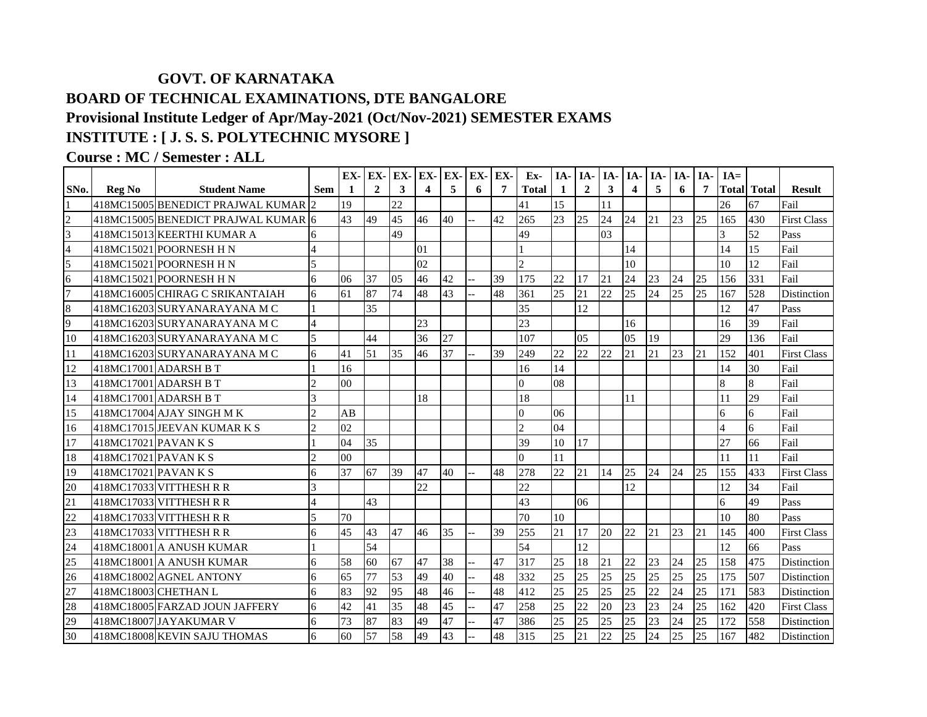## **GOVT. OF KARNATAKA BOARD OF TECHNICAL EXAMINATIONS, DTE BANGALORE Provisional Institute Ledger of Apr/May-2021 (Oct/Nov-2021) SEMESTER EXAMS INSTITUTE : [ J. S. S. POLYTECHNIC MYSORE ]**

**Course : MC / Semester : ALL**

|                         |                      |                                     |                             | EX-            | EX-            | EX- | EX-                     | EX- | EX- | EX- | Ex-            | IA- | <b>IA-</b>     | IA- | IA-           | IA- | $IA-$           | IA- | $IA=$ |                    |                    |
|-------------------------|----------------------|-------------------------------------|-----------------------------|----------------|----------------|-----|-------------------------|-----|-----|-----|----------------|-----|----------------|-----|---------------|-----|-----------------|-----|-------|--------------------|--------------------|
| SNo.                    | <b>Reg No</b>        | <b>Student Name</b>                 | Sem                         | -1             | $\overline{2}$ | 3   | $\overline{\mathbf{4}}$ | 5   | 6   | 7   | <b>Total</b>   | 1   | $\overline{2}$ | 3   | 4             | 5   | 6               | 7   |       | <b>Total Total</b> | <b>Result</b>      |
|                         |                      | 418MC15005 BENEDICT PRAJWAL KUMAR 2 |                             | 19             |                | 22  |                         |     |     |     | 41             | 15  |                | 11  |               |     |                 |     | 26    | 67                 | Fail               |
| $\overline{2}$          |                      | 418MC15005 BENEDICT PRAJWAL KUMAR 6 |                             | 43             | 49             | 45  | 46                      | 40  |     | 42  | 265            | 23  | 25             | 24  | 24            | 21  | 23              | 25  | 165   | 430                | <b>First Class</b> |
| $\overline{\mathbf{3}}$ |                      | 418MC15013 KEERTHI KUMAR A          | 6                           |                |                | 49  |                         |     |     |     | 49             |     |                | 03  |               |     |                 |     | 3     | 52                 | Pass               |
| $\overline{4}$          |                      | 418MC15021 POORNESH H N             |                             |                |                |     | 01                      |     |     |     |                |     |                |     | 14            |     |                 |     | 14    | 15                 | Fail               |
| 5                       |                      | 418MC15021 POORNESH H N             | 5                           |                |                |     | 02                      |     |     |     | $\overline{2}$ |     |                |     | 10            |     |                 |     | 10    | 12                 | Fail               |
| 6                       |                      | 418MC15021 POORNESH H N             | 6                           | 06             | 37             | 05  | 46                      | 42  |     | 39  | 175            | 22  | 17             | 21  | 24            | 23  | 24              | 25  | 156   | 331                | Fail               |
| $\overline{7}$          |                      | 418MC16005lCHIRAG C SRIKANTAIAH     | 6                           | 61             | 87             | 74  | 48                      | 43  |     | 48  | 361            | 25  | 21             | 22  | 25            | 24  | 25              | 25  | 167   | 528                | Distinction        |
| $\bf 8$                 |                      | 418MC16203 SURYANARAYANA M C        |                             |                | 35             |     |                         |     |     |     | 35             |     | 12             |     |               |     |                 |     | 12    | 47                 | Pass               |
| 9                       |                      | 418MC16203 SURYANARAYANA M C        | $\overline{4}$              |                |                |     | 23                      |     |     |     | 23             |     |                |     | 16            |     |                 |     | 16    | 39                 | Fail               |
| 10                      |                      | 418MC16203 SURYANARAYANA M C        | 5                           |                | 44             |     | 36                      | 27  |     |     | 107            |     | 05             |     | $0.5^{\circ}$ | 19  |                 |     | 29    | 136                | Fail               |
| 11                      |                      | 418MC16203 SURYANARAYANA M C        | 6                           | 41             | 51             | 35  | 46                      | 37  |     | 39  | 249            | 22  | 22.            | 22  | 21            | 21  | 23              | 21  | 152   | 401                | <b>First Class</b> |
| 12                      |                      | 418MC17001 ADARSH B T               |                             | 16             |                |     |                         |     |     |     | 16             | 14  |                |     |               |     |                 |     | 14    | 30                 | Fail               |
| 13                      |                      | 418MC17001 ADARSH B T               | $\overline{2}$              | 0 <sub>0</sub> |                |     |                         |     |     |     | $\Omega$       | 08  |                |     |               |     |                 |     | 8     | 8                  | Fail               |
| 14                      |                      | 418MC17001 ADARSH B T               | 3                           |                |                |     | 18                      |     |     |     | 18             |     |                |     | 11            |     |                 |     | 11    | 29                 | Fail               |
| 15                      |                      | 418MC17004 AJAY SINGH MK            | $\overline{2}$              | AB             |                |     |                         |     |     |     | $\overline{0}$ | 06  |                |     |               |     |                 |     | 6     | 6                  | Fail               |
| 16                      |                      | 418MC17015 JEEVAN KUMAR K S         | $\overline{2}$              | 02             |                |     |                         |     |     |     | $\overline{2}$ | 04  |                |     |               |     |                 |     |       | 6                  | Fail               |
| 17                      | 418MC17021 PAVAN K S |                                     |                             | 04             | 35             |     |                         |     |     |     | 39             | 10  | 17             |     |               |     |                 |     | 27    | 66                 | Fail               |
| 18                      | 418MC17021 PAVAN K S |                                     | $\mathcal{D}_{\mathcal{L}}$ | 0 <sub>0</sub> |                |     |                         |     |     |     | $\Omega$       | 11  |                |     |               |     |                 |     | 11    | 11                 | Fail               |
| 19                      | 418MC17021 PAVAN K S |                                     | 6                           | 37             | 67             | 39  | 47                      | 40  |     | 48  | 278            | 22  | 21             | 14  | 25            | 24  | 24              | 25  | 155   | 433                | <b>First Class</b> |
| 20                      |                      | 418MC17033 VITTHESH R R             | 3                           |                |                |     | 22                      |     |     |     | 22             |     |                |     | 12            |     |                 |     | 12    | 34                 | Fail               |
| 21                      |                      | 418MC17033 VITTHESH R R             | $\overline{4}$              |                | 43             |     |                         |     |     |     | 43             |     | 06             |     |               |     |                 |     | 6     | 49                 | Pass               |
| 22                      |                      | 418MC17033 VITTHESH R R             | $\overline{5}$              | 70             |                |     |                         |     |     |     | 70             | 10  |                |     |               |     |                 |     | 10    | 80                 | Pass               |
| 23                      |                      | 418MC17033 VITTHESH R R             | 6                           | 45             | 43             | 47  | 46                      | 35  |     | 39  | 255            | 21  | 17             | 20  | 22            | 21  | $\overline{23}$ | 21  | 145   | 400                | <b>First Class</b> |
| 24                      |                      | 418MC18001 A ANUSH KUMAR            |                             |                | 54             |     |                         |     |     |     | 54             |     | 12             |     |               |     |                 |     | 12    | 66                 | Pass               |
| 25                      |                      | 418MC18001 A ANUSH KUMAR            | 6                           | 58             | 60             | 67  | 47                      | 38  |     | 47  | 317            | 25  | 18             | 21  | 22            | 23  | 24              | 25  | 158   | 475                | Distinction        |
| 26                      |                      | 418MC18002 AGNEL ANTONY             | 6                           | 65             | 77             | 53  | 49                      | 40  |     | 48  | 332            | 25  | 25             | 25  | 25            | 25  | 25              | 25  | 175   | 507                | Distinction        |
| 27                      |                      | 418MC18003 CHETHAN L                | 6                           | 83             | 92             | 95  | 48                      | 46  |     | 48  | 412            | 25  | 25             | 25  | 25            | 22  | 24              | 25  | 171   | 583                | Distinction        |
| 28                      |                      | 418MC18005 FARZAD JOUN JAFFERY      | 6                           | 42             | 41             | 35  | 48                      | 45  |     | 47  | 258            | 25  | 22             | 20  | 23            | 23  | 24              | 25  | 162   | 420                | <b>First Class</b> |
| 29                      |                      | 418MC18007 JAYAKUMAR V              | 6                           | 73             | 87             | 83  | 49                      | 47  |     | 47  | 386            | 25  | 25             | 25  | 25            | 23  | 24              | 25  | 172   | 558                | Distinction        |
| 30                      |                      | 418MC18008 KEVIN SAJU THOMAS        | 6                           | 60             | 57             | 58  | 49                      | 43  |     | 48  | 315            | 25  | 21             | 22  | 25            | 24  | 25              | 25  | 167   | 482                | Distinction        |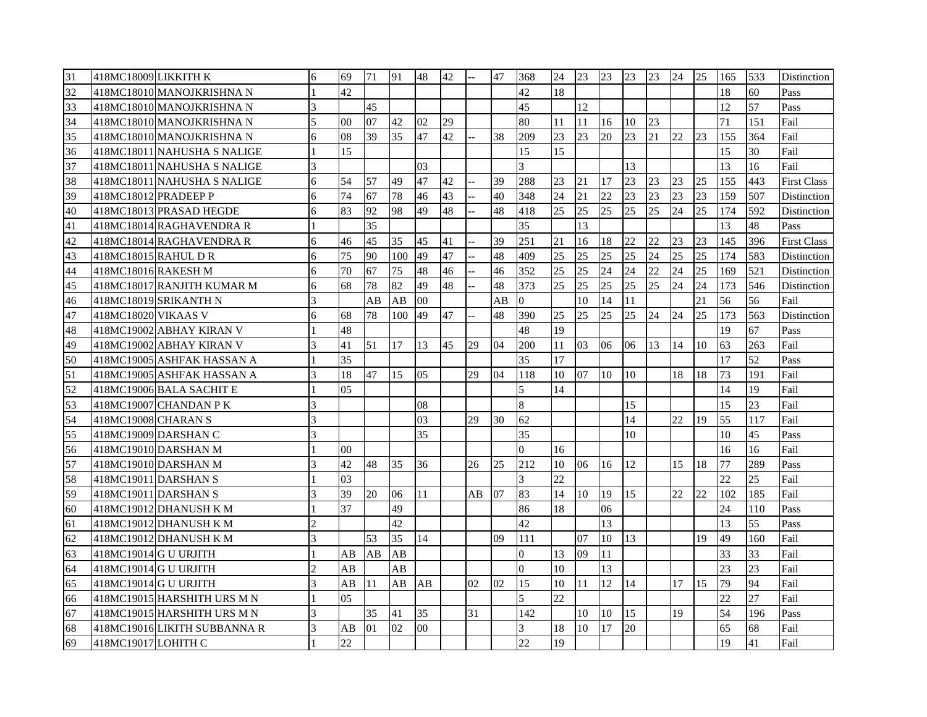| 31 | 418MC18009 LIKKITH K         | 6              | 69             | 71 | 91  | 48             | 42 |    | 47 | 368            | 24 | 23 | 23     | 23 | 23 | 24 | 25 | 165 | 533 | Distinction        |
|----|------------------------------|----------------|----------------|----|-----|----------------|----|----|----|----------------|----|----|--------|----|----|----|----|-----|-----|--------------------|
| 32 | 418MC18010 MANOJKRISHNA N    |                | 42             |    |     |                |    |    |    | 42             | 18 |    |        |    |    |    |    | 18  | 60  | Pass               |
| 33 | 418MC18010 MANOJKRISHNA N    | 3              |                | 45 |     |                |    |    |    | 45             |    | 12 |        |    |    |    |    | 12  | 57  | Pass               |
| 34 | 418MC18010 MANOJKRISHNA N    | 5              | 0 <sub>0</sub> | 07 | 42  | 02             | 29 |    |    | 80             | 11 | 11 | 16     | 10 | 23 |    |    | 71  | 151 | Fail               |
| 35 | 418MC18010 MANOJKRISHNA N    | 6              | 08             | 39 | 35  | 47             | 42 |    | 38 | 209            | 23 | 23 | 20     | 23 | 21 | 22 | 23 | 155 | 364 | Fail               |
| 36 | 418MC18011 NAHUSHA S NALIGE  |                | 15             |    |     |                |    |    |    | 15             | 15 |    |        |    |    |    |    | 15  | 30  | Fail               |
| 37 | 418MC18011 NAHUSHA S NALIGE  | 3              |                |    |     | 03             |    |    |    | 3              |    |    |        | 13 |    |    |    | 13  | 16  | Fail               |
| 38 | 418MC18011 NAHUSHA S NALIGE  | 6              | 54             | 57 | 49  | 47             | 42 |    | 39 | 288            | 23 | 21 | 17     | 23 | 23 | 23 | 25 | 155 | 443 | <b>First Class</b> |
| 39 | 418MC18012 PRADEEP P         | 6              | 74             | 67 | 78  | 46             | 43 |    | 40 | 348            | 24 | 21 | 22     | 23 | 23 | 23 | 23 | 159 | 507 | Distinction        |
| 40 | 418MC18013 PRASAD HEGDE      | 6              | 83             | 92 | 98  | 49             | 48 |    | 48 | 418            | 25 | 25 | 25     | 25 | 25 | 24 | 25 | 174 | 592 | Distinction        |
| 41 | 418MC18014 RAGHAVENDRA R     |                |                | 35 |     |                |    |    |    | 35             |    | 13 |        |    |    |    |    | 13  | 48  | Pass               |
| 42 | 418MC18014 RAGHAVENDRA R     | 6              | 46             | 45 | 35  | 45             | 41 |    | 39 | 251            | 21 | 16 | 18     | 22 | 22 | 23 | 23 | 145 | 396 | <b>First Class</b> |
| 43 | 418MC18015 RAHUL DR          | 6              | 75             | 90 | 100 | 49             | 47 |    | 48 | 409            | 25 | 25 | 25     | 25 | 24 | 25 | 25 | 174 | 583 | Distinction        |
| 44 | 418MC18016 RAKESH M          | 6              | 70             | 67 | 75  | 48             | 46 |    | 46 | 352            | 25 | 25 | 24     | 24 | 22 | 24 | 25 | 169 | 521 | Distinction        |
| 45 | 418MC18017 RANJITH KUMAR M   | 6              | 68             | 78 | 82  | 49             | 48 |    | 48 | 373            | 25 | 25 | 25     | 25 | 25 | 24 | 24 | 173 | 546 | Distinction        |
| 46 | 418MC18019 SRIKANTH N        | 3              |                | AB | AB  | 0 <sub>0</sub> |    |    | AB | $\overline{0}$ |    | 10 | 14     | 11 |    |    | 21 | 56  | 56  | Fail               |
| 47 | 418MC18020 VIKAAS V          | 6              | 68             | 78 | 100 | 49             | 47 |    | 48 | 390            | 25 | 25 | 25     | 25 | 24 | 24 | 25 | 173 | 563 | Distinction        |
| 48 | 418MC19002 ABHAY KIRAN V     |                | 48             |    |     |                |    |    |    | 48             | 19 |    |        |    |    |    |    | 19  | 67  | Pass               |
| 49 | 418MC19002 ABHAY KIRAN V     | 3              | 41             | 51 | 17  | 13             | 45 | 29 | 04 | 200            | 11 | 03 | 06     | 06 | 13 | 14 | 10 | 63  | 263 | Fail               |
| 50 | 418MC19005 ASHFAK HASSAN A   |                | 35             |    |     |                |    |    |    | 35             | 17 |    |        |    |    |    |    | 17  | 52  | Pass               |
| 51 | 418MC19005 ASHFAK HASSAN A   | 3              | 18             | 47 | 15  | 05             |    | 29 | 04 | 118            | 10 | 07 | 10     | 10 |    | 18 | 18 | 73  | 191 | Fail               |
| 52 | 418MC19006 BALA SACHIT E     |                | 05             |    |     |                |    |    |    | 5              | 14 |    |        |    |    |    |    | 14  | 19  | Fail               |
| 53 | 418MC19007 CHANDAN P K       | 3              |                |    |     | 08             |    |    |    | 8              |    |    |        | 15 |    |    |    | 15  | 23  | Fail               |
| 54 | 418MC19008 CHARAN S          | 3              |                |    |     | 03             |    | 29 | 30 | 62             |    |    |        | 14 |    | 22 | 19 | 55  | 117 | Fail               |
| 55 | 418MC19009 DARSHAN C         | $\overline{3}$ |                |    |     | 35             |    |    |    | 35             |    |    |        | 10 |    |    |    | 10  | 45  | Pass               |
| 56 | 418MC19010 DARSHAN M         |                | 00             |    |     |                |    |    |    | $\Omega$       | 16 |    |        |    |    |    |    | 16  | 16  | Fail               |
| 57 | 418MC19010 DARSHAN M         | 3              | 42             | 48 | 35  | 36             |    | 26 | 25 | 212            | 10 | 06 | 16     | 12 |    | 15 | 18 | 77  | 289 | Pass               |
| 58 | 418MC19011 DARSHAN S         |                | 03             |    |     |                |    |    |    | 3              | 22 |    |        |    |    |    |    | 22  | 25  | Fail               |
| 59 | 418MC19011 DARSHAN S         | 3              | 39             | 20 | 06  | 11             |    | AB | 07 | 83             | 14 | 10 | 19     | 15 |    | 22 | 22 | 102 | 185 | Fail               |
| 60 | 418MC19012 DHANUSH K M       |                | 37             |    | 49  |                |    |    |    | 86             | 18 |    | 06     |    |    |    |    | 24  | 110 | Pass               |
| 61 | 418MC19012 DHANUSH K M       | $\overline{c}$ |                |    | 42  |                |    |    |    | 42             |    |    | 13     |    |    |    |    | 13  | 55  | Pass               |
| 62 | 418MC19012 DHANUSH K M       | 3              |                | 53 | 35  | 14             |    |    | 09 | 111            |    | 07 | $10\,$ | 13 |    |    | 19 | 49  | 160 | Fail               |
| 63 | 418MC19014G U URJITH         |                | AB             | AB | AB  |                |    |    |    | $\overline{0}$ | 13 | 09 | 11     |    |    |    |    | 33  | 33  | Fail               |
| 64 | 418MC19014 G U URJITH        | $\overline{c}$ | AB             |    | AB  |                |    |    |    | $\Omega$       | 10 |    | 13     |    |    |    |    | 23  | 23  | Fail               |
| 65 | 418MC19014 G U URJITH        | 3              | AB             | 11 | AB  | AB             |    | 02 | 02 | 15             | 10 | 11 | 12     | 14 |    | 17 | 15 | 79  | 94  | Fail               |
| 66 | 418MC19015 HARSHITH URS M N  |                | 05             |    |     |                |    |    |    | 5              | 22 |    |        |    |    |    |    | 22  | 27  | Fail               |
| 67 | 418MC19015 HARSHITH URS M N  | 3              |                | 35 | 41  | 35             |    | 31 |    | 142            |    | 10 | 10     | 15 |    | 19 |    | 54  | 196 | Pass               |
| 68 | 418MC19016 LIKITH SUBBANNA R |                | AВ             | 01 | 02  | $00\,$         |    |    |    | 3              | 18 | 10 | 17     | 20 |    |    |    | 65  | 68  | Fail               |
| 69 | 418MC19017 LOHITH C          |                | 22             |    |     |                |    |    |    | 22             | 19 |    |        |    |    |    |    | 19  | 41  | Fail               |